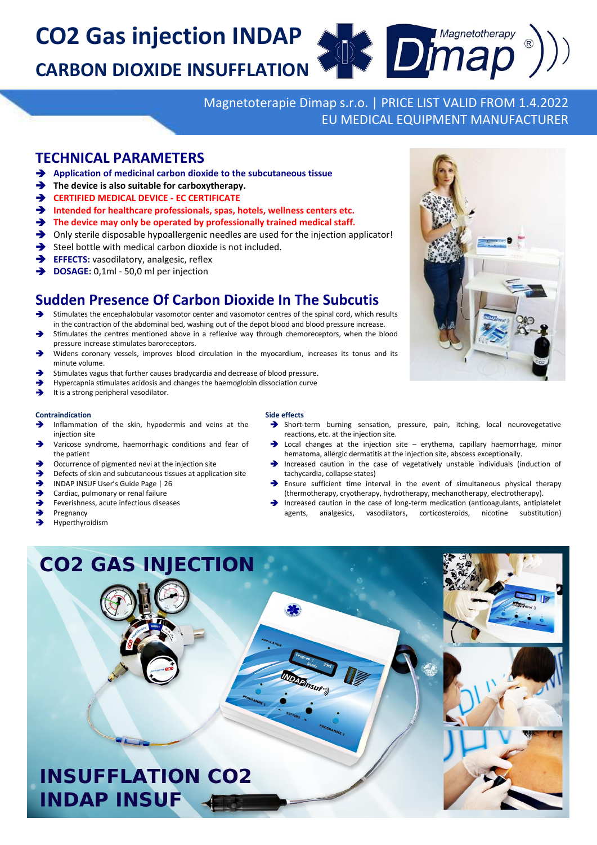**CO2 Gas injection INDAP CARBON DIOXIDE INSUFFLATION**

> Magnetoterapie Dimap s.r.o. | PRICE LIST VALID FROM 1.4.2022 EU MEDICAL EQUIPMENT MANUFACTURER

**End Dimapetotherapy** 

## **TECHNICAL PARAMETERS**

- **Application of medicinal carbon dioxide to the subcutaneous tissue**
- The device is also suitable for carboxytherapy.
- **CERTIFIED MEDICAL DEVICE - EC CERTIFICATE**
- **Intended for healthcare professionals, spas, hotels, wellness centers etc.**
- **The device may only be operated by professionally trained medical staff.**
- Only sterile disposable hypoallergenic needles are used for the injection applicator!
- $\rightarrow$  Steel bottle with medical carbon dioxide is not included.
- **EFFECTS:** vasodilatory, analgesic, reflex
- **DOSAGE:** 0,1ml 50,0 ml per injection

# **Sudden Presence Of Carbon Dioxide In The Subcutis**

- Stimulates the encephalobular vasomotor center and vasomotor centres of the spinal cord, which results
- in the contraction of the abdominal bed, washing out of the depot blood and blood pressure increase. Stimulates the centres mentioned above in a reflexive way through chemoreceptors, when the blood pressure increase stimulates baroreceptors.
- Widens coronary vessels, improves blood circulation in the myocardium, increases its tonus and its minute volume.
- Stimulates vagus that further causes bradycardia and decrease of blood pressure.
- Hypercapnia stimulates acidosis and changes the haemoglobin dissociation curve
- It is a strong peripheral vasodilator.

#### **Contraindication**

- Inflammation of the skin, hypodermis and veins at the injection site
- Varicose syndrome, haemorrhagic conditions and fear of the patient
- Occurrence of pigmented nevi at the injection site
- Defects of skin and subcutaneous tissues at application site
- INDAP INSUF User's Guide Page | 26
- Cardiac, pulmonary or renal failure
- Feverishness, acute infectious diseases
- Pregnancy
- Hyperthyroidism

### **Side effects**

- Short-term burning sensation, pressure, pain, itching, local neurovegetative reactions, etc. at the injection site.
- Local changes at the injection site erythema, capillary haemorrhage, minor hematoma, allergic dermatitis at the injection site, abscess exceptionally.
- Increased caution in the case of vegetatively unstable individuals (induction of tachycardia, collapse states)
- Ensure sufficient time interval in the event of simultaneous physical therapy (thermotherapy, cryotherapy, hydrotherapy, mechanotherapy, electrotherapy).
- Increased caution in the case of long-term medication (anticoagulants, antiplatelet agents, analgesics, vasodilators, corticosteroids, nicotine substitution)